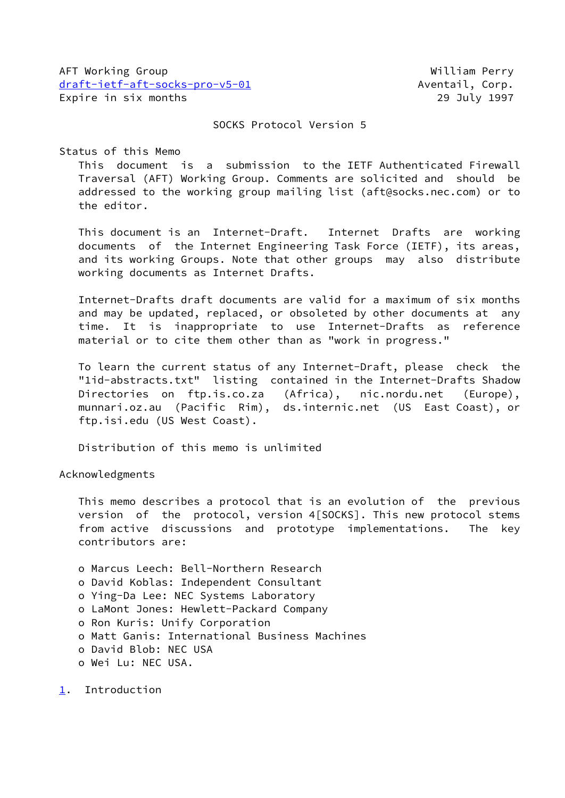AFT Working Group William Perry [draft-ietf-aft-socks-pro-v5-01](https://datatracker.ietf.org/doc/pdf/draft-ietf-aft-socks-pro-v5-01) Aventail, Corp. Expire in six months 29 July 1997

SOCKS Protocol Version 5

Status of this Memo

 This document is a submission to the IETF Authenticated Firewall Traversal (AFT) Working Group. Comments are solicited and should be addressed to the working group mailing list (aft@socks.nec.com) or to the editor.

 This document is an Internet-Draft. Internet Drafts are working documents of the Internet Engineering Task Force (IETF), its areas, and its working Groups. Note that other groups may also distribute working documents as Internet Drafts.

 Internet-Drafts draft documents are valid for a maximum of six months and may be updated, replaced, or obsoleted by other documents at any time. It is inappropriate to use Internet-Drafts as reference material or to cite them other than as "work in progress."

 To learn the current status of any Internet-Draft, please check the "1id-abstracts.txt" listing contained in the Internet-Drafts Shadow Directories on ftp.is.co.za (Africa), nic.nordu.net (Europe), munnari.oz.au (Pacific Rim), ds.internic.net (US East Coast), or ftp.isi.edu (US West Coast).

Distribution of this memo is unlimited

Acknowledgments

 This memo describes a protocol that is an evolution of the previous version of the protocol, version 4[SOCKS]. This new protocol stems from active discussions and prototype implementations. The key contributors are:

- o Marcus Leech: Bell-Northern Research
- o David Koblas: Independent Consultant
- o Ying-Da Lee: NEC Systems Laboratory
- o LaMont Jones: Hewlett-Packard Company
- o Ron Kuris: Unify Corporation
- o Matt Ganis: International Business Machines
- o David Blob: NEC USA
- o Wei Lu: NEC USA.

<span id="page-0-0"></span>[1](#page-0-0). Introduction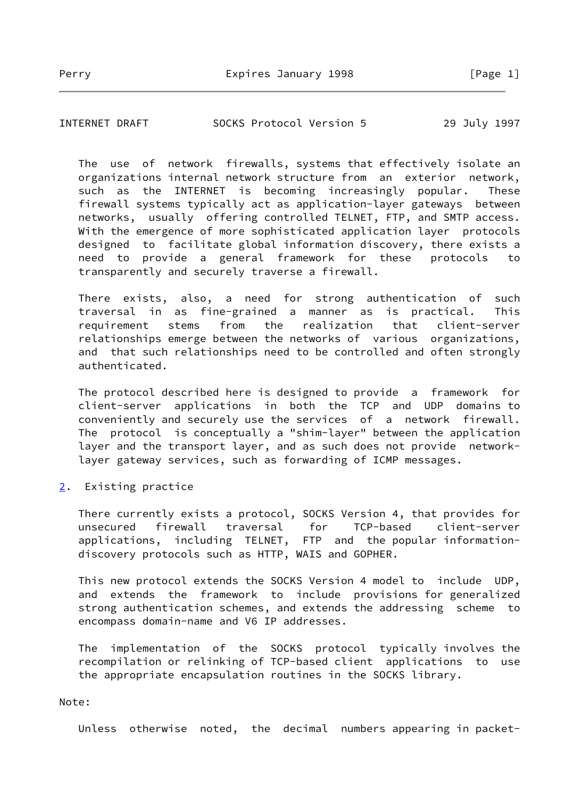INTERNET DRAFT SOCKS Protocol Version 5 29 July 1997

 The use of network firewalls, systems that effectively isolate an organizations internal network structure from an exterior network, such as the INTERNET is becoming increasingly popular. These firewall systems typically act as application-layer gateways between networks, usually offering controlled TELNET, FTP, and SMTP access. With the emergence of more sophisticated application layer protocols designed to facilitate global information discovery, there exists a need to provide a general framework for these protocols to transparently and securely traverse a firewall.

 There exists, also, a need for strong authentication of such traversal in as fine-grained a manner as is practical. This requirement stems from the realization that client-server relationships emerge between the networks of various organizations, and that such relationships need to be controlled and often strongly authenticated.

 The protocol described here is designed to provide a framework for client-server applications in both the TCP and UDP domains to conveniently and securely use the services of a network firewall. The protocol is conceptually a "shim-layer" between the application layer and the transport layer, and as such does not provide network layer gateway services, such as forwarding of ICMP messages.

<span id="page-1-0"></span>[2](#page-1-0). Existing practice

 There currently exists a protocol, SOCKS Version 4, that provides for unsecured firewall traversal for TCP-based client-server applications, including TELNET, FTP and the popular information discovery protocols such as HTTP, WAIS and GOPHER.

 This new protocol extends the SOCKS Version 4 model to include UDP, and extends the framework to include provisions for generalized strong authentication schemes, and extends the addressing scheme to encompass domain-name and V6 IP addresses.

 The implementation of the SOCKS protocol typically involves the recompilation or relinking of TCP-based client applications to use the appropriate encapsulation routines in the SOCKS library.

## Note:

Unless otherwise noted, the decimal numbers appearing in packet-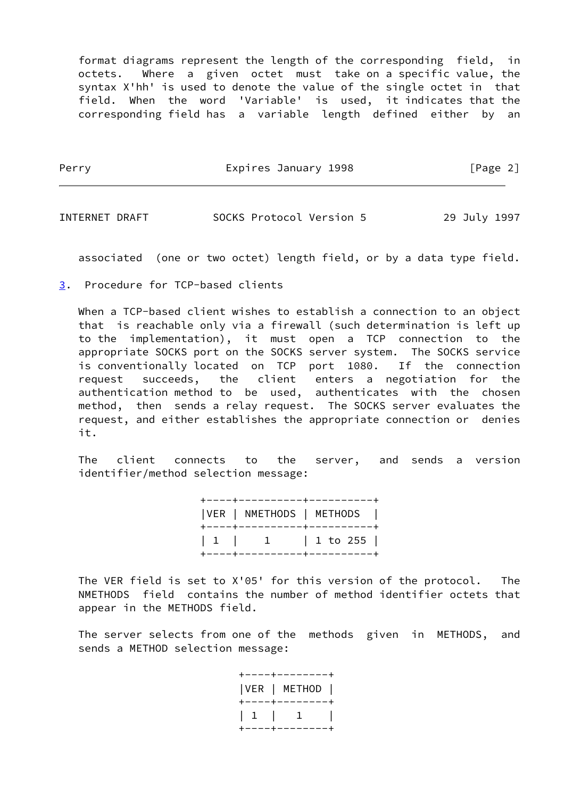format diagrams represent the length of the corresponding field, in octets. Where a given octet must take on a specific value, the syntax X'hh' is used to denote the value of the single octet in that field. When the word 'Variable' is used, it indicates that the corresponding field has a variable length defined either by an

Perry **Expires January 1998** [Page 2]

INTERNET DRAFT SOCKS Protocol Version 5 29 July 1997

associated (one or two octet) length field, or by a data type field.

<span id="page-2-0"></span>[3](#page-2-0). Procedure for TCP-based clients

When a TCP-based client wishes to establish a connection to an object that is reachable only via a firewall (such determination is left up to the implementation), it must open a TCP connection to the appropriate SOCKS port on the SOCKS server system. The SOCKS service is conventionally located on TCP port 1080. If the connection request succeeds, the client enters a negotiation for the authentication method to be used, authenticates with the chosen method, then sends a relay request. The SOCKS server evaluates the request, and either establishes the appropriate connection or denies it.

 The client connects to the server, and sends a version identifier/method selection message:

> +----+----------+----------+ |VER | NMETHODS | METHODS | +----+----------+----------+ | 1 | 1 | 1 to 255 | +----+----------+----------+

 The VER field is set to X'05' for this version of the protocol. The NMETHODS field contains the number of method identifier octets that appear in the METHODS field.

 The server selects from one of the methods given in METHODS, and sends a METHOD selection message:

> +----+--------+ |VER | METHOD | +----+--------+ | 1 | 1 | +----+--------+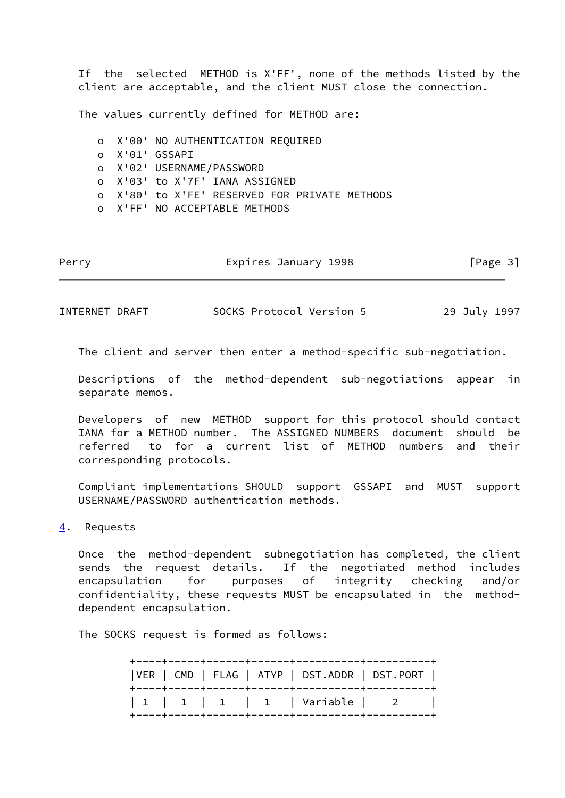If the selected METHOD is X'FF', none of the methods listed by the client are acceptable, and the client MUST close the connection.

The values currently defined for METHOD are:

 o X'00' NO AUTHENTICATION REQUIRED o X'01' GSSAPI o X'02' USERNAME/PASSWORD o X'03' to X'7F' IANA ASSIGNED o X'80' to X'FE' RESERVED FOR PRIVATE METHODS o X'FF' NO ACCEPTABLE METHODS

|  | [Page 3] |
|--|----------|

INTERNET DRAFT SOCKS Protocol Version 5 29 July 1997

The client and server then enter a method-specific sub-negotiation.

 Descriptions of the method-dependent sub-negotiations appear in separate memos.

 Developers of new METHOD support for this protocol should contact IANA for a METHOD number. The ASSIGNED NUMBERS document should be referred to for a current list of METHOD numbers and their corresponding protocols.

 Compliant implementations SHOULD support GSSAPI and MUST support USERNAME/PASSWORD authentication methods.

<span id="page-3-0"></span>[4](#page-3-0). Requests

 Once the method-dependent subnegotiation has completed, the client sends the request details. If the negotiated method includes encapsulation for purposes of integrity checking and/or confidentiality, these requests MUST be encapsulated in the method dependent encapsulation.

The SOCKS request is formed as follows:

 +----+-----+------+------+----------+----------+ |VER | CMD | FLAG | ATYP | DST.ADDR | DST.PORT | +----+-----+------+------+----------+----------+ | 1 | 1 | 1 | 1 | Variable | 2 | +----+-----+------+------+----------+----------+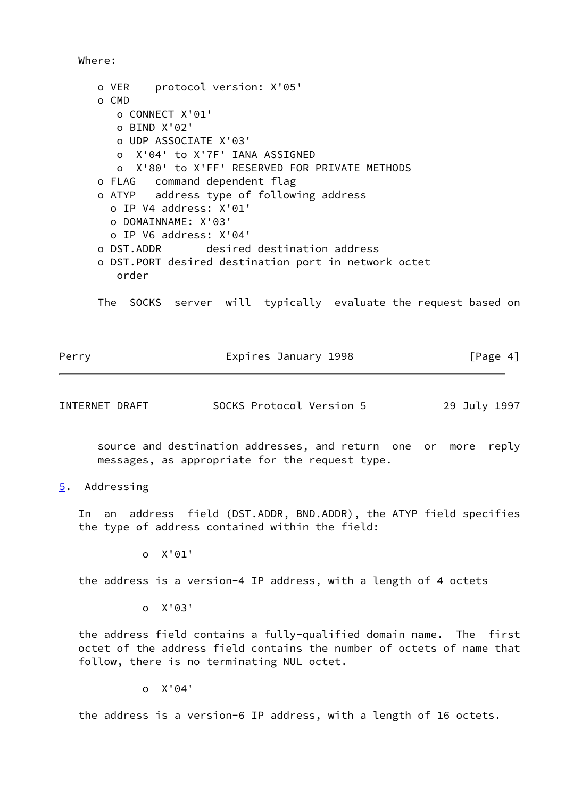Where:

 o VER protocol version: X'05' o CMD o CONNECT X'01' o BIND X'02' o UDP ASSOCIATE X'03' o X'04' to X'7F' IANA ASSIGNED o X'80' to X'FF' RESERVED FOR PRIVATE METHODS o FLAG command dependent flag o ATYP address type of following address o IP V4 address: X'01' o DOMAINNAME: X'03' o IP V6 address: X'04' o DST.ADDR desired destination address o DST.PORT desired destination port in network octet order

The SOCKS server will typically evaluate the request based on

| Perry | Expires January 1998 | [Page 4] |
|-------|----------------------|----------|
|       |                      |          |

INTERNET DRAFT SOCKS Protocol Version 5 29 July 1997

 source and destination addresses, and return one or more reply messages, as appropriate for the request type.

<span id="page-4-0"></span>[5](#page-4-0). Addressing

 In an address field (DST.ADDR, BND.ADDR), the ATYP field specifies the type of address contained within the field:

o X'01'

the address is a version-4 IP address, with a length of 4 octets

o X'03'

 the address field contains a fully-qualified domain name. The first octet of the address field contains the number of octets of name that follow, there is no terminating NUL octet.

o X'04'

the address is a version-6 IP address, with a length of 16 octets.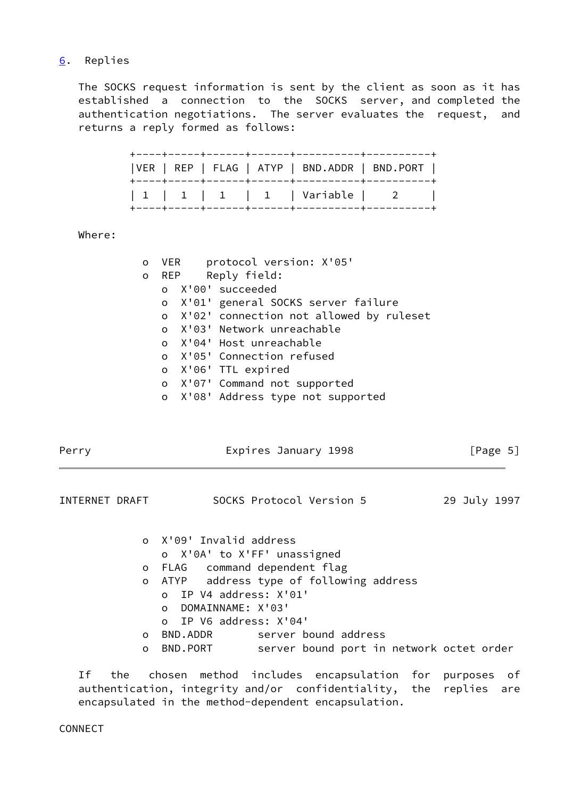## <span id="page-5-0"></span>[6](#page-5-0). Replies

 The SOCKS request information is sent by the client as soon as it has established a connection to the SOCKS server, and completed the authentication negotiations. The server evaluates the request, and returns a reply formed as follows:

| VER   REP   FLAG   ATYP   BND.ADDR   BND.PORT |  |
|-----------------------------------------------|--|
| $ 1 1 1 1 1 1 1$   Variable $ 2 1 $           |  |

Where:

| O |  | VER protocol version: X'05'               |
|---|--|-------------------------------------------|
|   |  | o REP Reply field:                        |
|   |  | o X'00' succeeded                         |
|   |  | o X'01' general SOCKS server failure      |
|   |  | o X'02' connection not allowed by ruleset |
|   |  | o X'03' Network unreachable               |
|   |  | o X'04' Host unreachable                  |
|   |  | o X'05' Connection refused                |
|   |  | o X'06' TTL expired                       |
|   |  | o X'07' Command not supported             |
|   |  | o X'08' Address type not supported        |

| Perry          |          | Expires January 1998                                 | [Page 5]     |  |
|----------------|----------|------------------------------------------------------|--------------|--|
| INTERNET DRAFT |          | SOCKS Protocol Version 5                             | 29 July 1997 |  |
|                |          | o X'09' Invalid address                              |              |  |
|                |          | o X'0A' to X'FF' unassigned                          |              |  |
|                | O        | FLAG command dependent flag                          |              |  |
|                | $\circ$  | ATYP address type of following address               |              |  |
|                |          | o IP V4 address: X'01'                               |              |  |
|                |          | DOMAINNAME: X'03'<br>$\Omega$                        |              |  |
|                |          | o IP V6 address: X'04'                               |              |  |
|                | $\Omega$ | server bound address<br>BND.ADDR                     |              |  |
|                | $\circ$  | BND.PORT<br>server bound port in network octet order |              |  |

 If the chosen method includes encapsulation for purposes of authentication, integrity and/or confidentiality, the replies are encapsulated in the method-dependent encapsulation.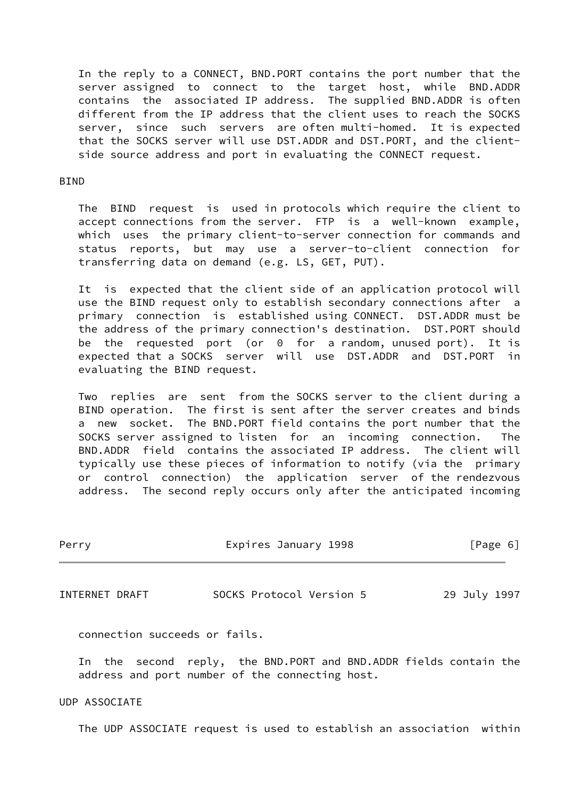In the reply to a CONNECT, BND.PORT contains the port number that the server assigned to connect to the target host, while BND.ADDR contains the associated IP address. The supplied BND.ADDR is often different from the IP address that the client uses to reach the SOCKS server, since such servers are often multi-homed. It is expected that the SOCKS server will use DST.ADDR and DST.PORT, and the client side source address and port in evaluating the CONNECT request.

## **BIND**

 The BIND request is used in protocols which require the client to accept connections from the server. FTP is a well-known example, which uses the primary client-to-server connection for commands and status reports, but may use a server-to-client connection for transferring data on demand (e.g. LS, GET, PUT).

 It is expected that the client side of an application protocol will use the BIND request only to establish secondary connections after a primary connection is established using CONNECT. DST.ADDR must be the address of the primary connection's destination. DST.PORT should be the requested port (or 0 for a random, unused port). It is expected that a SOCKS server will use DST.ADDR and DST.PORT in evaluating the BIND request.

 Two replies are sent from the SOCKS server to the client during a BIND operation. The first is sent after the server creates and binds a new socket. The BND.PORT field contains the port number that the SOCKS server assigned to listen for an incoming connection. The BND.ADDR field contains the associated IP address. The client will typically use these pieces of information to notify (via the primary or control connection) the application server of the rendezvous address. The second reply occurs only after the anticipated incoming

| Perry                         | Expires January 1998                                                                                                                                                                                                              | [Page 6]     |
|-------------------------------|-----------------------------------------------------------------------------------------------------------------------------------------------------------------------------------------------------------------------------------|--------------|
| INTERNET DRAFT                | SOCKS Protocol Version 5                                                                                                                                                                                                          | 29 July 1997 |
| connection succeeds or fails. |                                                                                                                                                                                                                                   |              |
|                               | $\mathbf{r}$ , and the second contract of the contract of the contract of the contract of the contract of the contract of the contract of the contract of the contract of the contract of the contract of the contract of the con |              |

 In the second reply, the BND.PORT and BND.ADDR fields contain the address and port number of the connecting host.

## UDP ASSOCIATE

The UDP ASSOCIATE request is used to establish an association within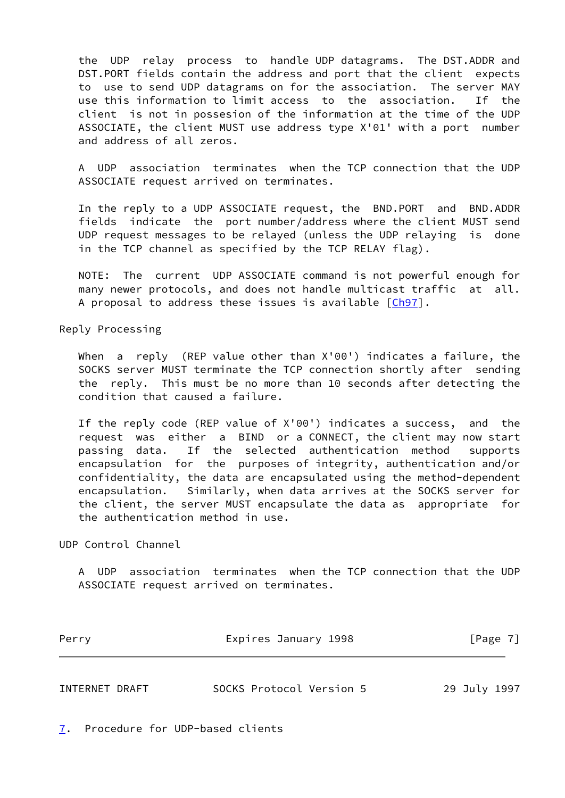the UDP relay process to handle UDP datagrams. The DST.ADDR and DST.PORT fields contain the address and port that the client expects to use to send UDP datagrams on for the association. The server MAY use this information to limit access to the association. If the client is not in possesion of the information at the time of the UDP ASSOCIATE, the client MUST use address type X'01' with a port number and address of all zeros.

UDP association terminates when the TCP connection that the UDP ASSOCIATE request arrived on terminates.

 In the reply to a UDP ASSOCIATE request, the BND.PORT and BND.ADDR fields indicate the port number/address where the client MUST send UDP request messages to be relayed (unless the UDP relaying is done in the TCP channel as specified by the TCP RELAY flag).

 NOTE: The current UDP ASSOCIATE command is not powerful enough for many newer protocols, and does not handle multicast traffic at all. A proposal to address these issues is available [\[Ch97](#page-9-0)].

Reply Processing

When a reply (REP value other than X'00') indicates a failure, the SOCKS server MUST terminate the TCP connection shortly after sending the reply. This must be no more than 10 seconds after detecting the condition that caused a failure.

 If the reply code (REP value of X'00') indicates a success, and the request was either a BIND or a CONNECT, the client may now start passing data. If the selected authentication method supports encapsulation for the purposes of integrity, authentication and/or confidentiality, the data are encapsulated using the method-dependent encapsulation. Similarly, when data arrives at the SOCKS server for the client, the server MUST encapsulate the data as appropriate for the authentication method in use.

UDP Control Channel

 A UDP association terminates when the TCP connection that the UDP ASSOCIATE request arrived on terminates.

| Perry          | Expires January 1998     | [Page 7]     |
|----------------|--------------------------|--------------|
|                |                          |              |
| INTERNET DRAFT | SOCKS Protocol Version 5 | 29 July 1997 |

<span id="page-7-0"></span>[7](#page-7-0). Procedure for UDP-based clients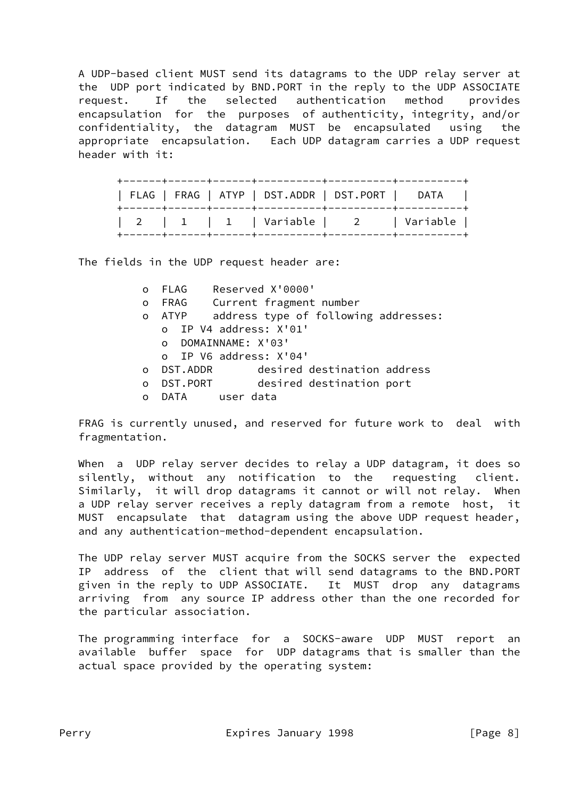A UDP-based client MUST send its datagrams to the UDP relay server at the UDP port indicated by BND.PORT in the reply to the UDP ASSOCIATE request. If the selected authentication method provides encapsulation for the purposes of authenticity, integrity, and/or confidentiality, the datagram MUST be encapsulated using the appropriate encapsulation. Each UDP datagram carries a UDP request header with it:

| FLAG   FRAG   ATYP   DST.ADDR   DST.PORT   DATA |  |  |
|-------------------------------------------------|--|--|
| 2   1   1   Variable   2   Variable             |  |  |

The fields in the UDP request header are:

|              | Reserved X'0000'<br>o FLAG                   |
|--------------|----------------------------------------------|
| $\mathsf{O}$ | FRAG Current fragment number                 |
| $\circ$      | address type of following addresses:<br>ATYP |
|              | o IP V4 address: X'01'                       |
|              | o DOMAINNAME: X'03'                          |
|              | o IP V6 address: X'04'                       |
|              | desired destination address<br>o DST.ADDR    |
| $\Omega$     | DST.PORT desired destination port            |
| $\Omega$     | DATA user data                               |

 FRAG is currently unused, and reserved for future work to deal with fragmentation.

 When a UDP relay server decides to relay a UDP datagram, it does so silently, without any notification to the requesting client. Similarly, it will drop datagrams it cannot or will not relay. When a UDP relay server receives a reply datagram from a remote host, it MUST encapsulate that datagram using the above UDP request header, and any authentication-method-dependent encapsulation.

 The UDP relay server MUST acquire from the SOCKS server the expected IP address of the client that will send datagrams to the BND.PORT given in the reply to UDP ASSOCIATE. It MUST drop any datagrams arriving from any source IP address other than the one recorded for the particular association.

 The programming interface for a SOCKS-aware UDP MUST report an available buffer space for UDP datagrams that is smaller than the actual space provided by the operating system: